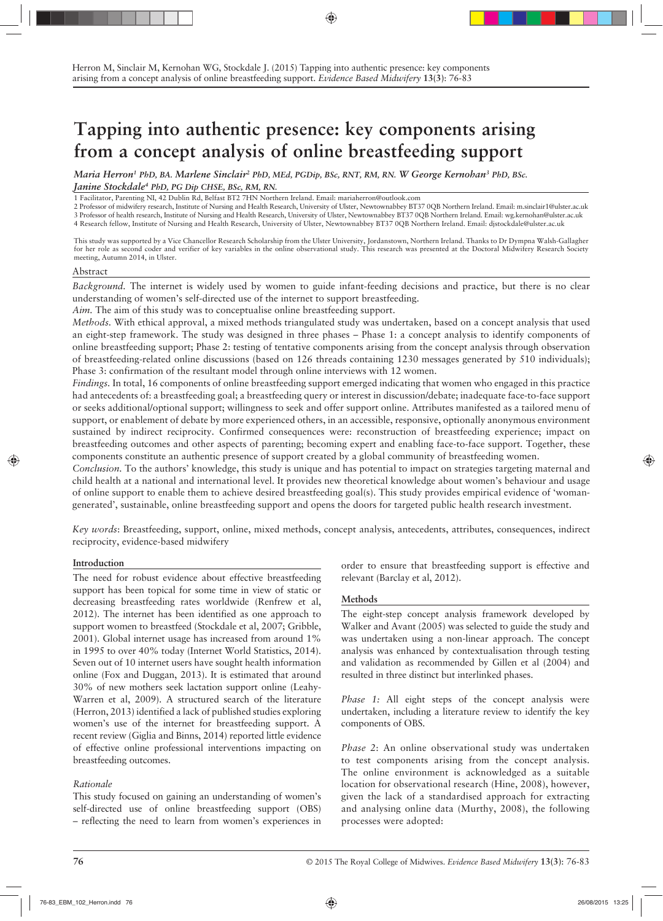# **Tapping into authentic presence: key components arising from a concept analysis of online breastfeeding support**

*Maria Herron1 PhD, BA. Marlene Sinclair2 PhD, MEd, PGDip, BSc, RNT, RM, RN. W George Kernohan3 PhD, BSc. Janine Stockdale4 PhD, PG Dip CHSE, BSc, RM, RN.*

1 Facilitator, Parenting NI, 42 Dublin Rd, Belfast BT2 7HN Northern Ireland. Email: mariaherron@outlook.com

2 Professor of midwifery research, Institute of Nursing and Health Research, University of Ulster, Newtownabbey BT37 0QB Northern Ireland. Email: m.sinclair1@ulster.ac.uk

3 Professor of health research, Institute of Nursing and Health Research, University of Ulster, Newtownabbey BT37 0QB Northern Ireland. Email: wg.kernohan@ulster.ac.uk 4 Research fellow, Institute of Nursing and Health Research, University of Ulster, Newtownabbey BT37 0QB Northern Ireland. Email: djstockdale@ulster.ac.uk

This study was supported by a Vice Chancellor Research Scholarship from the Ulster University, Jordanstown, Northern Ireland. Thanks to Dr Dympna Walsh-Gallagher for her role as second coder and verifier of key variables in the online observational study. This research was presented at the Doctoral Midwifery Research Society meeting, Autumn 2014, in Ulster.

#### Abstract

*Background.* The internet is widely used by women to guide infant-feeding decisions and practice, but there is no clear understanding of women's self-directed use of the internet to support breastfeeding.

*Aim.* The aim of this study was to conceptualise online breastfeeding support.

*Methods.* With ethical approval, a mixed methods triangulated study was undertaken, based on a concept analysis that used an eight-step framework. The study was designed in three phases – Phase 1: a concept analysis to identify components of online breastfeeding support; Phase 2: testing of tentative components arising from the concept analysis through observation of breastfeeding-related online discussions (based on 126 threads containing 1230 messages generated by 510 individuals); Phase 3: confirmation of the resultant model through online interviews with 12 women.

*Findings.* In total, 16 components of online breastfeeding support emerged indicating that women who engaged in this practice had antecedents of: a breastfeeding goal; a breastfeeding query or interest in discussion/debate; inadequate face-to-face support or seeks additional/optional support; willingness to seek and offer support online. Attributes manifested as a tailored menu of support, or enablement of debate by more experienced others, in an accessible, responsive, optionally anonymous environment sustained by indirect reciprocity. Confirmed consequences were: reconstruction of breastfeeding experience; impact on breastfeeding outcomes and other aspects of parenting; becoming expert and enabling face-to-face support. Together, these components constitute an authentic presence of support created by a global community of breastfeeding women.

*Conclusion.* To the authors' knowledge, this study is unique and has potential to impact on strategies targeting maternal and child health at a national and international level. It provides new theoretical knowledge about women's behaviour and usage of online support to enable them to achieve desired breastfeeding goal(s). This study provides empirical evidence of 'womangenerated', sustainable, online breastfeeding support and opens the doors for targeted public health research investment.

*Key words*: Breastfeeding, support, online, mixed methods, concept analysis, antecedents, attributes, consequences, indirect reciprocity, evidence-based midwifery

## **Introduction**

The need for robust evidence about effective breastfeeding support has been topical for some time in view of static or decreasing breastfeeding rates worldwide (Renfrew et al, 2012). The internet has been identified as one approach to support women to breastfeed (Stockdale et al, 2007; Gribble, 2001). Global internet usage has increased from around 1% in 1995 to over 40% today (Internet World Statistics, 2014). Seven out of 10 internet users have sought health information online (Fox and Duggan, 2013). It is estimated that around 30% of new mothers seek lactation support online (Leahy-Warren et al, 2009). A structured search of the literature (Herron, 2013) identified a lack of published studies exploring women's use of the internet for breastfeeding support. A recent review (Giglia and Binns, 2014) reported little evidence of effective online professional interventions impacting on breastfeeding outcomes.

# *Rationale*

This study focused on gaining an understanding of women's self-directed use of online breastfeeding support (OBS) – reflecting the need to learn from women's experiences in order to ensure that breastfeeding support is effective and relevant (Barclay et al, 2012).

## **Methods**

The eight-step concept analysis framework developed by Walker and Avant (2005) was selected to guide the study and was undertaken using a non-linear approach. The concept analysis was enhanced by contextualisation through testing and validation as recommended by Gillen et al (2004) and resulted in three distinct but interlinked phases.

*Phase 1:* All eight steps of the concept analysis were undertaken, including a literature review to identify the key components of OBS.

*Phase 2*: An online observational study was undertaken to test components arising from the concept analysis. The online environment is acknowledged as a suitable location for observational research (Hine, 2008), however, given the lack of a standardised approach for extracting and analysing online data (Murthy, 2008), the following processes were adopted: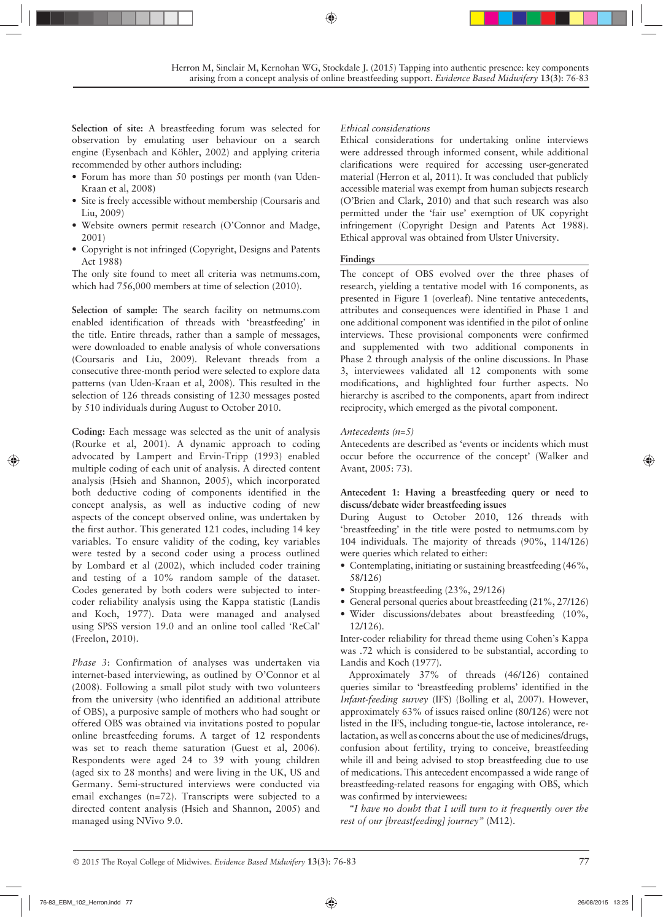**Selection of site:** A breastfeeding forum was selected for observation by emulating user behaviour on a search engine (Eysenbach and Köhler, 2002) and applying criteria recommended by other authors including:

- Forum has more than 50 postings per month (van Uden-Kraan et al, 2008)
- Site is freely accessible without membership (Coursaris and Liu, 2009)
- Website owners permit research (O'Connor and Madge, 2001)
- Copyright is not infringed (Copyright, Designs and Patents Act 1988)

The only site found to meet all criteria was netmums.com, which had 756,000 members at time of selection (2010).

**Selection of sample:** The search facility on netmums.com enabled identification of threads with 'breastfeeding' in the title. Entire threads, rather than a sample of messages, were downloaded to enable analysis of whole conversations (Coursaris and Liu, 2009). Relevant threads from a consecutive three-month period were selected to explore data patterns (van Uden-Kraan et al, 2008). This resulted in the selection of 126 threads consisting of 1230 messages posted by 510 individuals during August to October 2010.

**Coding:** Each message was selected as the unit of analysis (Rourke et al, 2001). A dynamic approach to coding advocated by Lampert and Ervin-Tripp (1993) enabled multiple coding of each unit of analysis. A directed content analysis (Hsieh and Shannon, 2005), which incorporated both deductive coding of components identified in the concept analysis, as well as inductive coding of new aspects of the concept observed online, was undertaken by the first author. This generated 121 codes, including 14 key variables. To ensure validity of the coding, key variables were tested by a second coder using a process outlined by Lombard et al (2002), which included coder training and testing of a 10% random sample of the dataset. Codes generated by both coders were subjected to intercoder reliability analysis using the Kappa statistic (Landis and Koch, 1977). Data were managed and analysed using SPSS version 19.0 and an online tool called 'ReCal' (Freelon, 2010).

*Phase 3*: Confirmation of analyses was undertaken via internet-based interviewing, as outlined by O'Connor et al (2008). Following a small pilot study with two volunteers from the university (who identified an additional attribute of OBS), a purposive sample of mothers who had sought or offered OBS was obtained via invitations posted to popular online breastfeeding forums. A target of 12 respondents was set to reach theme saturation (Guest et al, 2006). Respondents were aged 24 to 39 with young children (aged six to 28 months) and were living in the UK, US and Germany. Semi-structured interviews were conducted via email exchanges (n=72). Transcripts were subjected to a directed content analysis (Hsieh and Shannon, 2005) and managed using NVivo 9.0.

# *Ethical considerations*

Ethical considerations for undertaking online interviews were addressed through informed consent, while additional clarifications were required for accessing user-generated material (Herron et al, 2011). It was concluded that publicly accessible material was exempt from human subjects research (O'Brien and Clark, 2010) and that such research was also permitted under the 'fair use' exemption of UK copyright infringement (Copyright Design and Patents Act 1988). Ethical approval was obtained from Ulster University.

## **Findings**

The concept of OBS evolved over the three phases of research, yielding a tentative model with 16 components, as presented in Figure 1 (overleaf). Nine tentative antecedents, attributes and consequences were identified in Phase 1 and one additional component was identified in the pilot of online interviews. These provisional components were confirmed and supplemented with two additional components in Phase 2 through analysis of the online discussions. In Phase 3, interviewees validated all 12 components with some modifications, and highlighted four further aspects. No hierarchy is ascribed to the components, apart from indirect reciprocity, which emerged as the pivotal component.

## *Antecedents (n=5)*

Antecedents are described as 'events or incidents which must occur before the occurrence of the concept' (Walker and Avant, 2005: 73).

## **Antecedent 1: Having a breastfeeding query or need to discuss/debate wider breastfeeding issues**

During August to October 2010, 126 threads with 'breastfeeding' in the title were posted to netmums.com by 104 individuals. The majority of threads (90%, 114/126) were queries which related to either:

- Contemplating, initiating or sustaining breastfeeding (46%, 58/126)
- Stopping breastfeeding (23%, 29/126)
- General personal queries about breastfeeding (21%, 27/126)
- Wider discussions/debates about breastfeeding (10%, 12/126).

Inter-coder reliability for thread theme using Cohen's Kappa was .72 which is considered to be substantial, according to Landis and Koch (1977).

Approximately 37% of threads (46/126) contained queries similar to 'breastfeeding problems' identified in the *Infant-feeding survey* (IFS) (Bolling et al, 2007). However, approximately 63% of issues raised online (80/126) were not listed in the IFS, including tongue-tie, lactose intolerance, relactation, as well as concerns about the use of medicines/drugs, confusion about fertility, trying to conceive, breastfeeding while ill and being advised to stop breastfeeding due to use of medications. This antecedent encompassed a wide range of breastfeeding-related reasons for engaging with OBS, which was confirmed by interviewees:

*"I have no doubt that I will turn to it frequently over the rest of our [breastfeeding] journey"* (M12).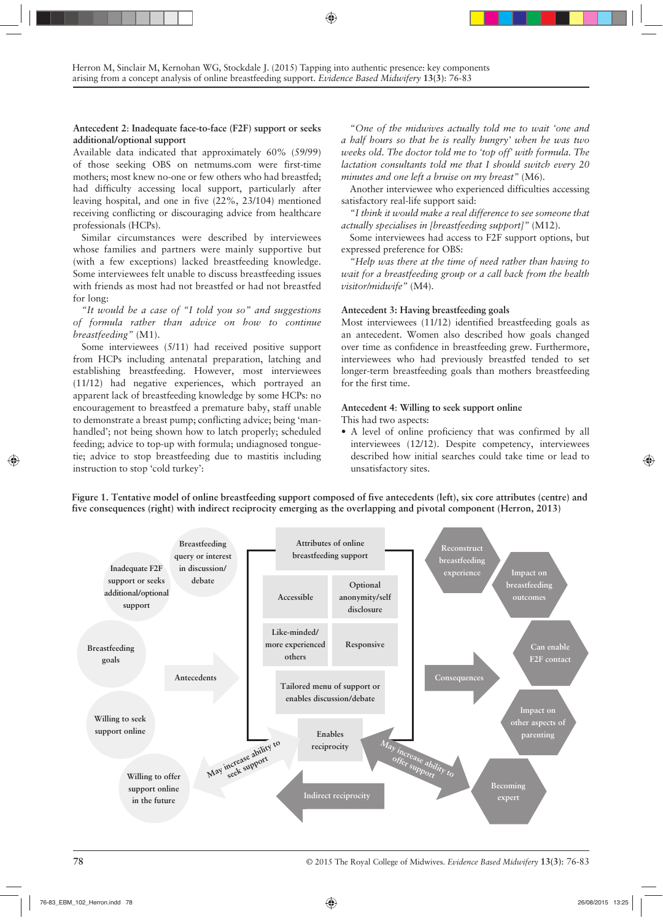## **Antecedent 2**: **Inadequate face-to-face (F2F) support or seeks additional/optional support**

Available data indicated that approximately 60% (59/99) of those seeking OBS on netmums.com were first-time mothers; most knew no-one or few others who had breastfed; had difficulty accessing local support, particularly after leaving hospital, and one in five (22%, 23/104) mentioned receiving conflicting or discouraging advice from healthcare professionals (HCPs).

Similar circumstances were described by interviewees whose families and partners were mainly supportive but (with a few exceptions) lacked breastfeeding knowledge. Some interviewees felt unable to discuss breastfeeding issues with friends as most had not breastfed or had not breastfed for long:

*"It would be a case of "I told you so" and suggestions of formula rather than advice on how to continue breastfeeding"* (M1).

Some interviewees (5/11) had received positive support from HCPs including antenatal preparation, latching and establishing breastfeeding. However, most interviewees (11/12) had negative experiences, which portrayed an apparent lack of breastfeeding knowledge by some HCPs: no encouragement to breastfeed a premature baby, staff unable to demonstrate a breast pump; conflicting advice; being 'manhandled'; not being shown how to latch properly; scheduled feeding; advice to top-up with formula; undiagnosed tonguetie; advice to stop breastfeeding due to mastitis including instruction to stop 'cold turkey':

*"One of the midwives actually told me to wait 'one and a half hours so that he is really hungry' when he was two weeks old. The doctor told me to 'top off' with formula. The lactation consultants told me that I should switch every 20 minutes and one left a bruise on my breast"* (M6).

Another interviewee who experienced difficulties accessing satisfactory real-life support said:

*"I think it would make a real difference to see someone that actually specialises in [breastfeeding support]"* (M12).

Some interviewees had access to F2F support options, but expressed preference for OBS:

*"Help was there at the time of need rather than having to wait for a breastfeeding group or a call back from the health visitor/midwife"* (M4).

## **Antecedent 3: Having breastfeeding goals**

Most interviewees (11/12) identified breastfeeding goals as an antecedent. Women also described how goals changed over time as confidence in breastfeeding grew. Furthermore, interviewees who had previously breastfed tended to set longer-term breastfeeding goals than mothers breastfeeding for the first time.

## **Antecedent 4**: **Willing to seek support online**

- This had two aspects:
- A level of online proficiency that was confirmed by all interviewees (12/12). Despite competency, interviewees described how initial searches could take time or lead to unsatisfactory sites.



**Figure 1. Tentative model of online breastfeeding support composed of five antecedents (left), six core attributes (centre) and five consequences (right) with indirect reciprocity emerging as the overlapping and pivotal component (Herron, 2013)**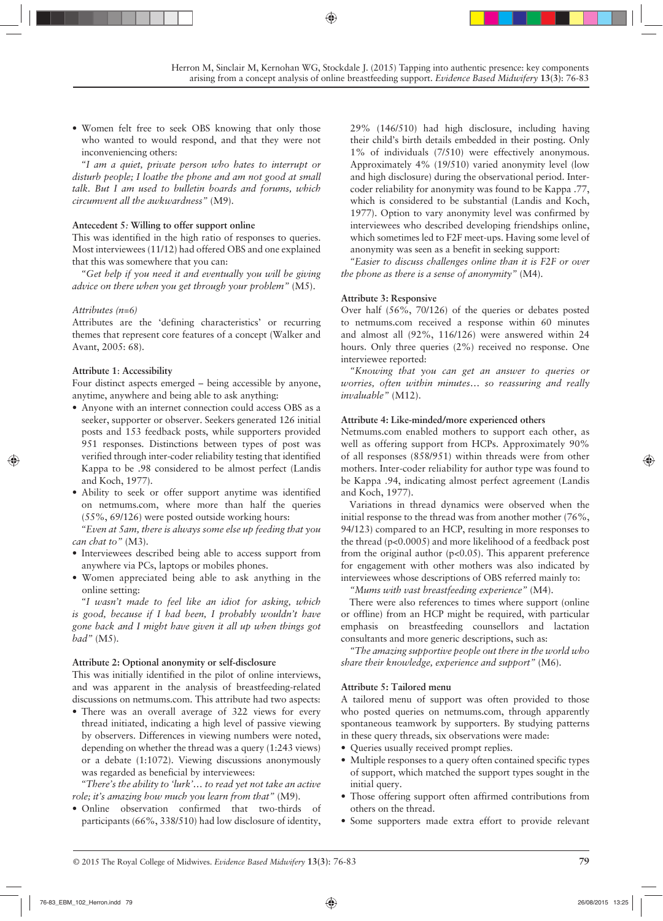• Women felt free to seek OBS knowing that only those who wanted to would respond, and that they were not inconveniencing others:

*"I am a quiet, private person who hates to interrupt or disturb people; I loathe the phone and am not good at small talk. But I am used to bulletin boards and forums, which circumvent all the awkwardness"* (M9).

## **Antecedent 5***:* **Willing to offer support online**

This was identified in the high ratio of responses to queries. Most interviewees (11/12) had offered OBS and one explained that this was somewhere that you can:

*"Get help if you need it and eventually you will be giving advice on there when you get through your problem"* (M5).

# *Attributes (n=6)*

Attributes are the 'defining characteristics' or recurring themes that represent core features of a concept (Walker and Avant, 2005: 68).

# **Attribute 1**: **Accessibility**

Four distinct aspects emerged – being accessible by anyone, anytime, anywhere and being able to ask anything:

- Anyone with an internet connection could access OBS as a seeker, supporter or observer. Seekers generated 126 initial posts and 153 feedback posts, while supporters provided 951 responses. Distinctions between types of post was verified through inter-coder reliability testing that identified Kappa to be .98 considered to be almost perfect (Landis and Koch, 1977).
- Ability to seek or offer support anytime was identified on netmums.com, where more than half the queries (55%, 69/126) were posted outside working hours:

*"Even at 5am, there is always some else up feeding that you can chat to"* (M3).

- Interviewees described being able to access support from anywhere via PCs, laptops or mobiles phones.
- Women appreciated being able to ask anything in the online setting:

*"I wasn't made to feel like an idiot for asking, which is good, because if I had been, I probably wouldn't have gone back and I might have given it all up when things got bad"* (M5).

## **Attribute 2: Optional anonymity or self-disclosure**

This was initially identified in the pilot of online interviews, and was apparent in the analysis of breastfeeding-related discussions on netmums.com. This attribute had two aspects:

• There was an overall average of 322 views for every thread initiated, indicating a high level of passive viewing by observers. Differences in viewing numbers were noted, depending on whether the thread was a query (1:243 views) or a debate (1:1072). Viewing discussions anonymously was regarded as beneficial by interviewees:

*"There's the ability to 'lurk'… to read yet not take an active role; it's amazing how much you learn from that"* (M9).

• Online observation confirmed that two-thirds of participants (66%, 338/510) had low disclosure of identity,

29% (146/510) had high disclosure, including having their child's birth details embedded in their posting. Only 1% of individuals (7/510) were effectively anonymous. Approximately 4% (19/510) varied anonymity level (low and high disclosure) during the observational period. Intercoder reliability for anonymity was found to be Kappa .77, which is considered to be substantial (Landis and Koch, 1977). Option to vary anonymity level was confirmed by interviewees who described developing friendships online, which sometimes led to F2F meet-ups. Having some level of anonymity was seen as a benefit in seeking support:

*"Easier to discuss challenges online than it is F2F or over the phone as there is a sense of anonymity"* (M4).

# **Attribute 3: Responsive**

Over half (56%, 70/126) of the queries or debates posted to netmums.com received a response within 60 minutes and almost all (92%, 116/126) were answered within 24 hours. Only three queries  $(2\%)$  received no response. One interviewee reported:

*"Knowing that you can get an answer to queries or worries, often within minutes… so reassuring and really invaluable"* (M12).

# **Attribute 4: Like-minded/more experienced others**

Netmums.com enabled mothers to support each other, as well as offering support from HCPs. Approximately 90% of all responses (858/951) within threads were from other mothers. Inter-coder reliability for author type was found to be Kappa .94, indicating almost perfect agreement (Landis and Koch, 1977).

Variations in thread dynamics were observed when the initial response to the thread was from another mother (76%, 94/123) compared to an HCP, resulting in more responses to the thread (p<0.0005) and more likelihood of a feedback post from the original author  $(p<0.05)$ . This apparent preference for engagement with other mothers was also indicated by interviewees whose descriptions of OBS referred mainly to:

*"Mums with vast breastfeeding experience"* (M4).

There were also references to times where support (online or offline) from an HCP might be required, with particular emphasis on breastfeeding counsellors and lactation consultants and more generic descriptions, such as:

*"The amazing supportive people out there in the world who share their knowledge, experience and support"* (M6).

## **Attribute 5: Tailored menu**

A tailored menu of support was often provided to those who posted queries on netmums.com, through apparently spontaneous teamwork by supporters. By studying patterns in these query threads, six observations were made:

- Queries usually received prompt replies.
- Multiple responses to a query often contained specific types of support, which matched the support types sought in the initial query.
- Those offering support often affirmed contributions from others on the thread.
- Some supporters made extra effort to provide relevant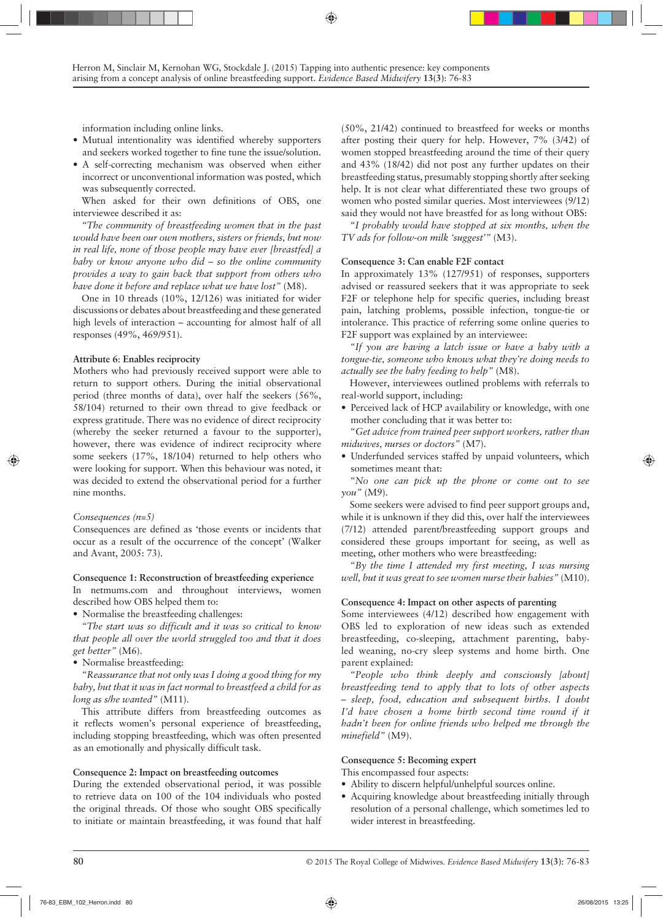information including online links.

- Mutual intentionality was identified whereby supporters and seekers worked together to fine tune the issue/solution.
- A self-correcting mechanism was observed when either incorrect or unconventional information was posted, which was subsequently corrected.

When asked for their own definitions of OBS, one interviewee described it as:

*"The community of breastfeeding women that in the past would have been our own mothers, sisters or friends, but now in real life, none of those people may have ever [breastfed] a baby or know anyone who did – so the online community provides a way to gain back that support from others who have done it before and replace what we have lost"* (M8).

One in 10 threads (10%, 12/126) was initiated for wider discussions or debates about breastfeeding and these generated high levels of interaction – accounting for almost half of all responses (49%, 469/951).

## **Attribute 6**: **Enables reciprocity**

Mothers who had previously received support were able to return to support others. During the initial observational period (three months of data), over half the seekers (56%, 58/104) returned to their own thread to give feedback or express gratitude. There was no evidence of direct reciprocity (whereby the seeker returned a favour to the supporter), however, there was evidence of indirect reciprocity where some seekers (17%, 18/104) returned to help others who were looking for support. When this behaviour was noted, it was decided to extend the observational period for a further nine months.

## *Consequences (n=5)*

Consequences are defined as 'those events or incidents that occur as a result of the occurrence of the concept' (Walker and Avant, 2005: 73).

## **Consequence 1: Reconstruction of breastfeeding experience**

In netmums.com and throughout interviews, women described how OBS helped them to:

• Normalise the breastfeeding challenges:

*"The start was so difficult and it was so critical to know that people all over the world struggled too and that it does get better"* (M6).

• Normalise breastfeeding:

*"Reassurance that not only was I doing a good thing for my baby, but that it was in fact normal to breastfeed a child for as long as s/he wanted"* (M11).

This attribute differs from breastfeeding outcomes as it reflects women's personal experience of breastfeeding, including stopping breastfeeding, which was often presented as an emotionally and physically difficult task.

## **Consequence 2: Impact on breastfeeding outcomes**

During the extended observational period, it was possible to retrieve data on 100 of the 104 individuals who posted the original threads. Of those who sought OBS specifically to initiate or maintain breastfeeding, it was found that half (50%, 21/42) continued to breastfeed for weeks or months after posting their query for help. However, 7% (3/42) of women stopped breastfeeding around the time of their query and 43% (18/42) did not post any further updates on their breastfeeding status, presumably stopping shortly after seeking help. It is not clear what differentiated these two groups of women who posted similar queries. Most interviewees (9/12) said they would not have breastfed for as long without OBS:

*"I probably would have stopped at six months, when the TV ads for follow-on milk 'suggest'"* (M3).

## **Consequence 3: Can enable F2F contact**

In approximately 13% (127/951) of responses, supporters advised or reassured seekers that it was appropriate to seek F2F or telephone help for specific queries, including breast pain, latching problems, possible infection, tongue-tie or intolerance. This practice of referring some online queries to F2F support was explained by an interviewee:

*"If you are having a latch issue or have a baby with a tongue-tie, someone who knows what they're doing needs to actually see the baby feeding to help"* (M8).

However, interviewees outlined problems with referrals to real-world support, including:

• Perceived lack of HCP availability or knowledge, with one mother concluding that it was better to:

*"Get advice from trained peer support workers, rather than midwives, nurses or doctors"* (M7).

• Underfunded services staffed by unpaid volunteers, which sometimes meant that:

*"No one can pick up the phone or come out to see you"* (M9).

Some seekers were advised to find peer support groups and, while it is unknown if they did this, over half the interviewees (7/12) attended parent/breastfeeding support groups and considered these groups important for seeing, as well as meeting, other mothers who were breastfeeding:

*"By the time I attended my first meeting, I was nursing well, but it was great to see women nurse their babies"* (M10).

## **Consequence 4: Impact on other aspects of parenting**

Some interviewees (4/12) described how engagement with OBS led to exploration of new ideas such as extended breastfeeding, co-sleeping, attachment parenting, babyled weaning, no-cry sleep systems and home birth. One parent explained:

*"People who think deeply and consciously [about] breastfeeding tend to apply that to lots of other aspects – sleep, food, education and subsequent births. I doubt I'd have chosen a home birth second time round if it hadn't been for online friends who helped me through the minefield"* (M9).

## **Consequence 5: Becoming expert**

This encompassed four aspects:

- Ability to discern helpful/unhelpful sources online.
- Acquiring knowledge about breastfeeding initially through resolution of a personal challenge, which sometimes led to wider interest in breastfeeding.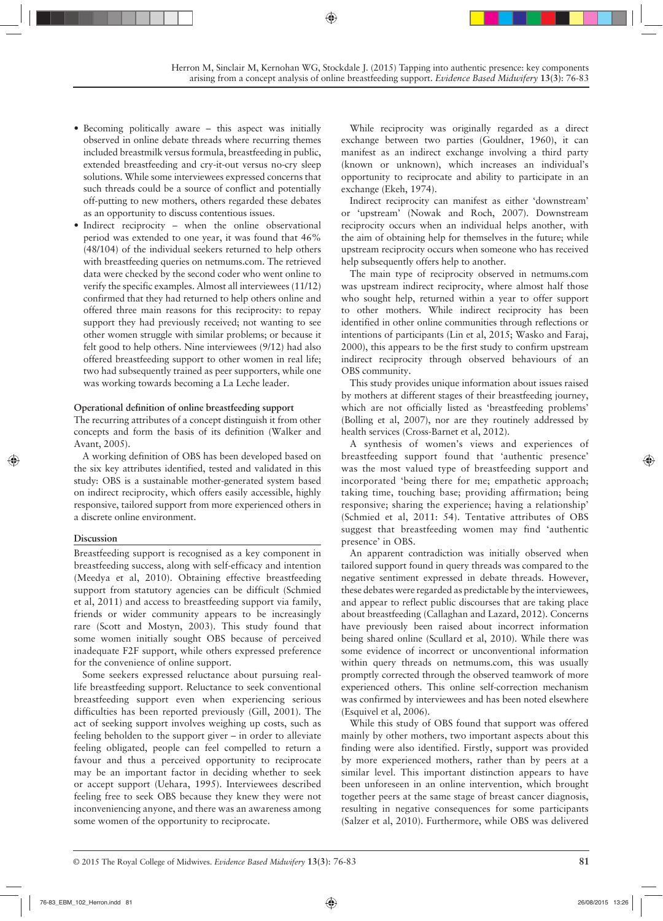- Becoming politically aware this aspect was initially observed in online debate threads where recurring themes included breastmilk versus formula, breastfeeding in public, extended breastfeeding and cry-it-out versus no-cry sleep solutions. While some interviewees expressed concerns that such threads could be a source of conflict and potentially off-putting to new mothers, others regarded these debates as an opportunity to discuss contentious issues.
- Indirect reciprocity when the online observational period was extended to one year, it was found that 46% (48/104) of the individual seekers returned to help others with breastfeeding queries on netmums.com. The retrieved data were checked by the second coder who went online to verify the specific examples. Almost all interviewees (11/12) confirmed that they had returned to help others online and offered three main reasons for this reciprocity: to repay support they had previously received; not wanting to see other women struggle with similar problems; or because it felt good to help others. Nine interviewees (9/12) had also offered breastfeeding support to other women in real life; two had subsequently trained as peer supporters, while one was working towards becoming a La Leche leader.

#### **Operational definition of online breastfeeding support**

The recurring attributes of a concept distinguish it from other concepts and form the basis of its definition (Walker and Avant, 2005).

A working definition of OBS has been developed based on the six key attributes identified, tested and validated in this study: OBS is a sustainable mother-generated system based on indirect reciprocity, which offers easily accessible, highly responsive, tailored support from more experienced others in a discrete online environment.

## **Discussion**

Breastfeeding support is recognised as a key component in breastfeeding success, along with self-efficacy and intention (Meedya et al, 2010). Obtaining effective breastfeeding support from statutory agencies can be difficult (Schmied et al, 2011) and access to breastfeeding support via family, friends or wider community appears to be increasingly rare (Scott and Mostyn, 2003). This study found that some women initially sought OBS because of perceived inadequate F2F support, while others expressed preference for the convenience of online support.

Some seekers expressed reluctance about pursuing reallife breastfeeding support. Reluctance to seek conventional breastfeeding support even when experiencing serious difficulties has been reported previously (Gill, 2001). The act of seeking support involves weighing up costs, such as feeling beholden to the support giver – in order to alleviate feeling obligated, people can feel compelled to return a favour and thus a perceived opportunity to reciprocate may be an important factor in deciding whether to seek or accept support (Uehara, 1995). Interviewees described feeling free to seek OBS because they knew they were not inconveniencing anyone, and there was an awareness among some women of the opportunity to reciprocate.

While reciprocity was originally regarded as a direct exchange between two parties (Gouldner, 1960), it can manifest as an indirect exchange involving a third party (known or unknown), which increases an individual's opportunity to reciprocate and ability to participate in an exchange (Ekeh, 1974).

Indirect reciprocity can manifest as either 'downstream' or 'upstream' (Nowak and Roch, 2007). Downstream reciprocity occurs when an individual helps another, with the aim of obtaining help for themselves in the future; while upstream reciprocity occurs when someone who has received help subsequently offers help to another.

The main type of reciprocity observed in netmums.com was upstream indirect reciprocity, where almost half those who sought help, returned within a year to offer support to other mothers. While indirect reciprocity has been identified in other online communities through reflections or intentions of participants (Lin et al, 2015; Wasko and Faraj, 2000), this appears to be the first study to confirm upstream indirect reciprocity through observed behaviours of an OBS community.

This study provides unique information about issues raised by mothers at different stages of their breastfeeding journey, which are not officially listed as 'breastfeeding problems' (Bolling et al, 2007), nor are they routinely addressed by health services (Cross-Barnet et al, 2012).

A synthesis of women's views and experiences of breastfeeding support found that 'authentic presence' was the most valued type of breastfeeding support and incorporated 'being there for me; empathetic approach; taking time, touching base; providing affirmation; being responsive; sharing the experience; having a relationship' (Schmied et al, 2011: 54). Tentative attributes of OBS suggest that breastfeeding women may find 'authentic presence' in OBS.

An apparent contradiction was initially observed when tailored support found in query threads was compared to the negative sentiment expressed in debate threads. However, these debates were regarded as predictable by the interviewees, and appear to reflect public discourses that are taking place about breastfeeding (Callaghan and Lazard, 2012). Concerns have previously been raised about incorrect information being shared online (Scullard et al, 2010). While there was some evidence of incorrect or unconventional information within query threads on netmums.com, this was usually promptly corrected through the observed teamwork of more experienced others. This online self-correction mechanism was confirmed by interviewees and has been noted elsewhere (Esquivel et al, 2006).

While this study of OBS found that support was offered mainly by other mothers, two important aspects about this finding were also identified. Firstly, support was provided by more experienced mothers, rather than by peers at a similar level. This important distinction appears to have been unforeseen in an online intervention, which brought together peers at the same stage of breast cancer diagnosis, resulting in negative consequences for some participants (Salzer et al, 2010). Furthermore, while OBS was delivered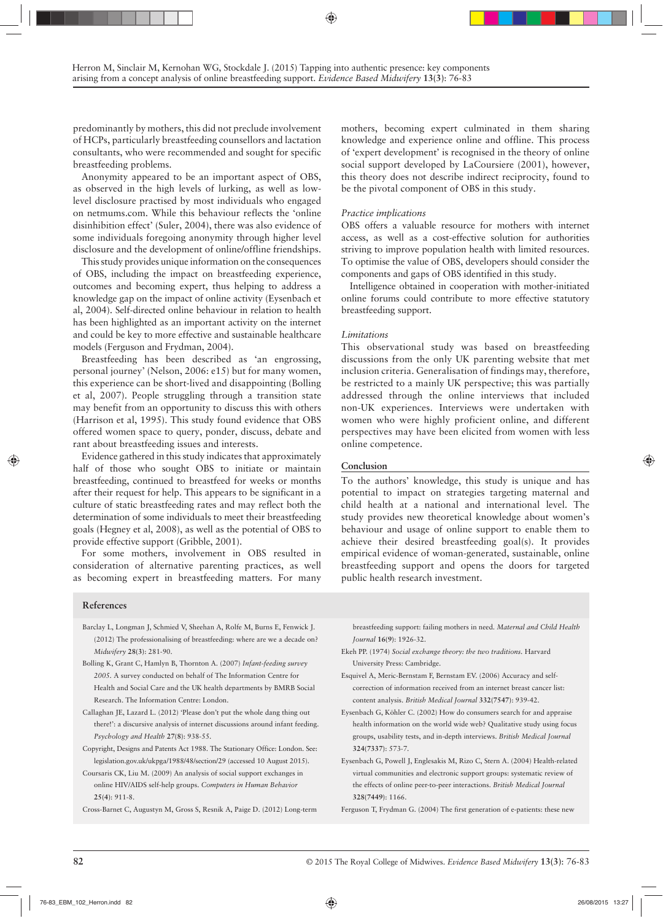predominantly by mothers, this did not preclude involvement of HCPs, particularly breastfeeding counsellors and lactation consultants, who were recommended and sought for specific breastfeeding problems.

Anonymity appeared to be an important aspect of OBS, as observed in the high levels of lurking, as well as lowlevel disclosure practised by most individuals who engaged on netmums.com. While this behaviour reflects the 'online disinhibition effect' (Suler, 2004), there was also evidence of some individuals foregoing anonymity through higher level disclosure and the development of online/offline friendships.

This study provides unique information on the consequences of OBS, including the impact on breastfeeding experience, outcomes and becoming expert, thus helping to address a knowledge gap on the impact of online activity (Eysenbach et al, 2004). Self-directed online behaviour in relation to health has been highlighted as an important activity on the internet and could be key to more effective and sustainable healthcare models (Ferguson and Frydman, 2004).

Breastfeeding has been described as 'an engrossing, personal journey' (Nelson, 2006: e15) but for many women, this experience can be short-lived and disappointing (Bolling et al, 2007). People struggling through a transition state may benefit from an opportunity to discuss this with others (Harrison et al, 1995). This study found evidence that OBS offered women space to query, ponder, discuss, debate and rant about breastfeeding issues and interests.

Evidence gathered in this study indicates that approximately half of those who sought OBS to initiate or maintain breastfeeding, continued to breastfeed for weeks or months after their request for help. This appears to be significant in a culture of static breastfeeding rates and may reflect both the determination of some individuals to meet their breastfeeding goals (Hegney et al, 2008), as well as the potential of OBS to provide effective support (Gribble, 2001).

For some mothers, involvement in OBS resulted in consideration of alternative parenting practices, as well as becoming expert in breastfeeding matters. For many

mothers, becoming expert culminated in them sharing knowledge and experience online and offline. This process of 'expert development' is recognised in the theory of online social support developed by LaCoursiere (2001), however, this theory does not describe indirect reciprocity, found to be the pivotal component of OBS in this study.

#### *Practice implications*

OBS offers a valuable resource for mothers with internet access, as well as a cost-effective solution for authorities striving to improve population health with limited resources. To optimise the value of OBS, developers should consider the components and gaps of OBS identified in this study.

Intelligence obtained in cooperation with mother-initiated online forums could contribute to more effective statutory breastfeeding support.

#### *Limitations*

This observational study was based on breastfeeding discussions from the only UK parenting website that met inclusion criteria. Generalisation of findings may, therefore, be restricted to a mainly UK perspective; this was partially addressed through the online interviews that included non-UK experiences. Interviews were undertaken with women who were highly proficient online, and different perspectives may have been elicited from women with less online competence.

#### **Conclusion**

To the authors' knowledge, this study is unique and has potential to impact on strategies targeting maternal and child health at a national and international level. The study provides new theoretical knowledge about women's behaviour and usage of online support to enable them to achieve their desired breastfeeding goal(s). It provides empirical evidence of woman-generated, sustainable, online breastfeeding support and opens the doors for targeted public health research investment.

#### **References**

- Barclay L, Longman J, Schmied V, Sheehan A, Rolfe M, Burns E, Fenwick J. (2012) The professionalising of breastfeeding: where are we a decade on? *Midwifery* **28(3)**: 281-90.
- Bolling K, Grant C, Hamlyn B, Thornton A. (2007) *Infant-feeding survey 2005.* A survey conducted on behalf of The Information Centre for Health and Social Care and the UK health departments by BMRB Social Research. The Information Centre: London.
- Callaghan JE, Lazard L. (2012) 'Please don't put the whole dang thing out there!': a discursive analysis of internet discussions around infant feeding. *Psychology and Health* **27(8)**: 938-55.
- Copyright, Designs and Patents Act 1988. The Stationary Office: London. See: legislation.gov.uk/ukpga/1988/48/section/29 (accessed 10 August 2015).
- Coursaris CK, Liu M. (2009) An analysis of social support exchanges in online HIV/AIDS self-help groups. *Computers in Human Behavior* **25(4)**: 911-8.
- Cross-Barnet C, Augustyn M, Gross S, Resnik A, Paige D. (2012) Long-term

breastfeeding support: failing mothers in need. *Maternal and Child Health Journal* **16(9)**: 1926-32.

- Ekeh PP. (1974) *Social exchange theory: the two traditions.* Harvard University Press: Cambridge.
- Esquivel A, Meric-Bernstam F, Bernstam EV. (2006) Accuracy and selfcorrection of information received from an internet breast cancer list: content analysis. *British Medical Journal* **332(7547)**: 939-42.
- Eysenbach G, Köhler C. (2002) How do consumers search for and appraise health information on the world wide web? Qualitative study using focus groups, usability tests, and in-depth interviews. *British Medical Journal*  **324(7337)**: 573-7.
- Eysenbach G, Powell J, Englesakis M, Rizo C, Stern A. (2004) Health-related virtual communities and electronic support groups: systematic review of the effects of online peer-to-peer interactions. *British Medical Journal*  **328(7449)**: 1166.
- Ferguson T, Frydman G. (2004) The first generation of e-patients: these new